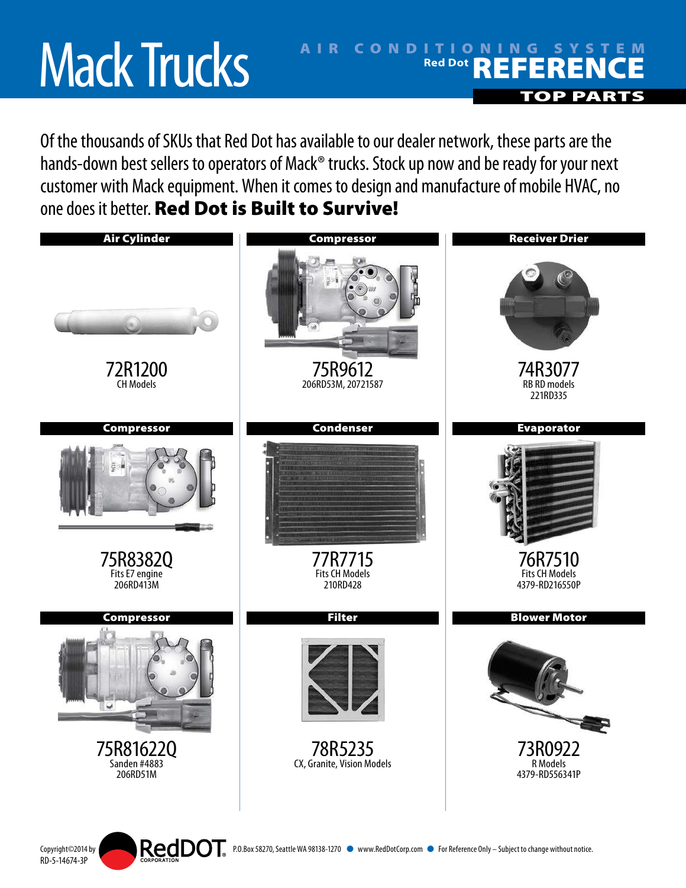# Mack Trucks

RD-5-14674-3P

## AIR CONDITIONING SYSTEM **Red Dot REFERENCE** TOP PART

Of the thousands of SKUs that Red Dot has available to our dealer network, these parts are the hands-down best sellers to operators of Mack® trucks. Stock up now and be ready for your next customer with Mack equipment. When it comes to design and manufacture of mobile HVAC, no one does it better. Red Dot is Built to Survive!